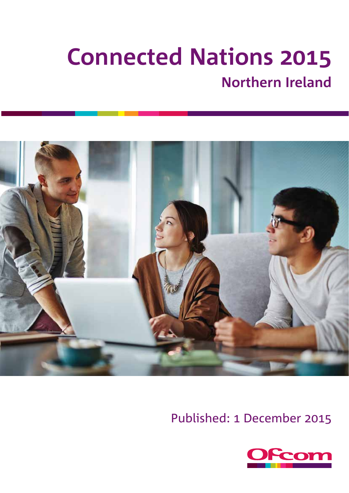# **Connected Nations Northern Ireland**



Published: 1 December 2015

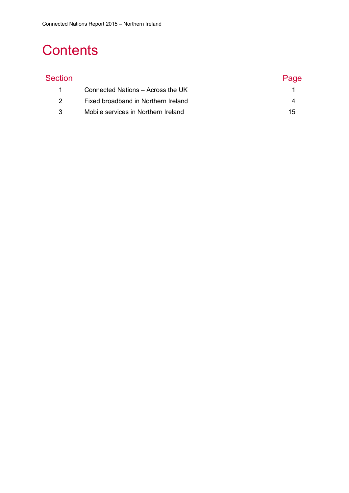# **Contents**

# Section **Page** 1 [Connected Nations –](#page-2-0) Across the UK 1 2 [Fixed broadband in Northern Ireland](#page-5-0) 4 3 [Mobile services in Northern Ireland](#page-16-0) 15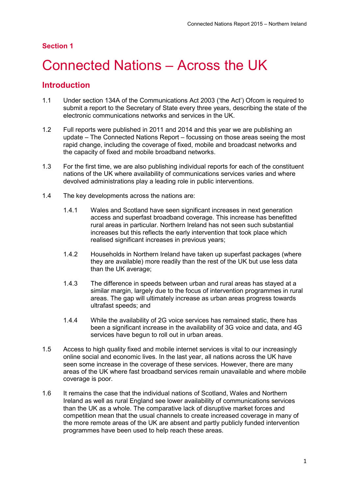## **Section 1**

# <span id="page-2-0"></span>1 Connected Nations – Across the UK

# **Introduction**

- 1.1 Under section 134A of the Communications Act 2003 ('the Act') Ofcom is required to submit a report to the Secretary of State every three years, describing the state of the electronic communications networks and services in the UK.
- 1.2 Full reports were published in 2011 and 2014 and this year we are publishing an update – The Connected Nations Report – focussing on those areas seeing the most rapid change, including the coverage of fixed, mobile and broadcast networks and the capacity of fixed and mobile broadband networks.
- 1.3 For the first time, we are also publishing individual reports for each of the constituent nations of the UK where availability of communications services varies and where devolved administrations play a leading role in public interventions.
- 1.4 The key developments across the nations are:
	- 1.4.1 Wales and Scotland have seen significant increases in next generation access and superfast broadband coverage. This increase has benefitted rural areas in particular. Northern Ireland has not seen such substantial increases but this reflects the early intervention that took place which realised significant increases in previous years;
	- 1.4.2 Households in Northern Ireland have taken up superfast packages (where they are available) more readily than the rest of the UK but use less data than the UK average;
	- 1.4.3 The difference in speeds between urban and rural areas has stayed at a similar margin, largely due to the focus of intervention programmes in rural areas. The gap will ultimately increase as urban areas progress towards ultrafast speeds; and
	- 1.4.4 While the availability of 2G voice services has remained static, there has been a significant increase in the availability of 3G voice and data, and 4G services have begun to roll out in urban areas.
- 1.5 Access to high quality fixed and mobile internet services is vital to our increasingly online social and economic lives. In the last year, all nations across the UK have seen some increase in the coverage of these services. However, there are many areas of the UK where fast broadband services remain unavailable and where mobile coverage is poor.
- 1.6 It remains the case that the individual nations of Scotland, Wales and Northern Ireland as well as rural England see lower availability of communications services than the UK as a whole. The comparative lack of disruptive market forces and competition mean that the usual channels to create increased coverage in many of the more remote areas of the UK are absent and partly publicly funded intervention programmes have been used to help reach these areas.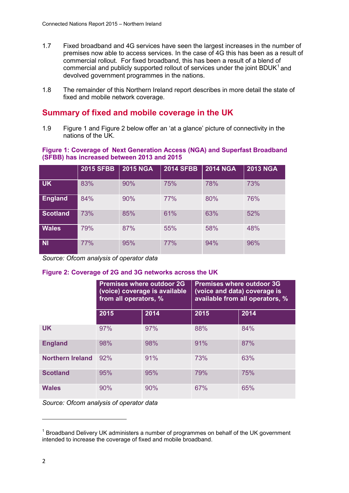- 1.7 Fixed broadband and 4G services have seen the largest increases in the number of premises now able to access services. In the case of 4G this has been as a result of commercial rollout. For fixed broadband, this has been a result of a blend of commercial and publicly supported rollout of services under the joint BDUK $<sup>1</sup>$  $<sup>1</sup>$  $<sup>1</sup>$  and</sup> devolved government programmes in the nations.
- 1.8 The remainder of this Northern Ireland report describes in more detail the state of fixed and mobile network coverage.

# **Summary of fixed and mobile coverage in the UK**

1.9 [Figure 1](#page-3-0) and [Figure 2](#page-3-1) below offer an 'at a glance' picture of connectivity in the nations of the UK.

### <span id="page-3-0"></span>**Figure 1: Coverage of Next Generation Access (NGA) and Superfast Broadband (SFBB) has increased between 2013 and 2015**

|                 | <b>2015 SFBB</b> | <b>2015 NGA</b> | <b>2014 SFBB</b> | <b>2014 NGA</b> | <b>2013 NGA</b> |
|-----------------|------------------|-----------------|------------------|-----------------|-----------------|
| <b>UK</b>       | 83%              | 90%             | 75%              | 78%             | 73%             |
| <b>England</b>  | 84%              | 90%             | 77%              | 80%             | 76%             |
| <b>Scotland</b> | 73%              | 85%             | 61%              | 63%             | 52%             |
| <b>Wales</b>    | 79%              | 87%             | 55%              | 58%             | 48%             |
| <b>NI</b>       | 77%              | 95%             | 77%              | 94%             | 96%             |

*Source: Ofcom analysis of operator data*

### <span id="page-3-1"></span>**Figure 2: Coverage of 2G and 3G networks across the UK**

|                         | from all operators, % | <b>Premises where outdoor 2G</b><br>(voice) coverage is available | <b>Premises where outdoor 3G</b><br>(voice and data) coverage is<br>available from all operators, % |      |  |
|-------------------------|-----------------------|-------------------------------------------------------------------|-----------------------------------------------------------------------------------------------------|------|--|
|                         | 2015                  | 2014                                                              | 2015                                                                                                | 2014 |  |
| <b>UK</b>               | 97%                   | 97%                                                               | 88%                                                                                                 | 84%  |  |
| <b>England</b>          | 98%                   | 98%                                                               | 91%                                                                                                 | 87%  |  |
| <b>Northern Ireland</b> | 92%                   | 91%                                                               | 73%                                                                                                 | 63%  |  |
| <b>Scotland</b>         | 95%                   | 95%                                                               | 79%                                                                                                 | 75%  |  |
| <b>Wales</b>            | 90%                   | 90%                                                               | 67%                                                                                                 | 65%  |  |

*Source: Ofcom analysis of operator data*

**.** 

<span id="page-3-2"></span> $1$  Broadband Delivery UK administers a number of programmes on behalf of the UK government intended to increase the coverage of fixed and mobile broadband.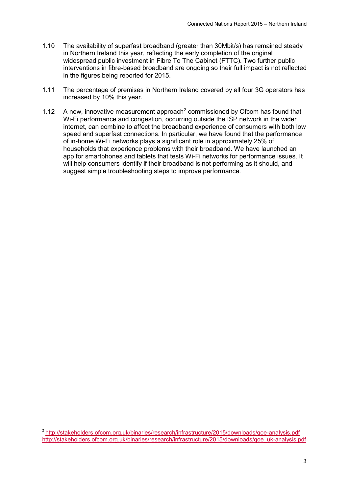- 1.10 The availability of superfast broadband (greater than 30Mbit/s) has remained steady in Northern Ireland this year, reflecting the early completion of the original widespread public investment in Fibre To The Cabinet (FTTC). Two further public interventions in fibre-based broadband are ongoing so their full impact is not reflected in the figures being reported for 2015.
- 1.11 The percentage of premises in Northern Ireland covered by all four 3G operators has increased by 10% this year.
- 1.1[2](#page-4-0) A new, innovative measurement approach<sup>2</sup> commissioned by Ofcom has found that Wi-Fi performance and congestion, occurring outside the ISP network in the wider internet, can combine to affect the broadband experience of consumers with both low speed and superfast connections. In particular, we have found that the performance of in-home Wi-Fi networks plays a significant role in approximately 25% of households that experience problems with their broadband. We have launched an app for smartphones and tablets that tests Wi-Fi networks for performance issues. It will help consumers identify if their broadband is not performing as it should, and suggest simple troubleshooting steps to improve performance.

**.** 

<span id="page-4-0"></span><sup>2</sup> <http://stakeholders.ofcom.org.uk/binaries/research/infrastructure/2015/downloads/qoe-analysis.pdf> [http://stakeholders.ofcom.org.uk/binaries/research/infrastructure/2015/downloads/qoe\\_uk-analysis.pdf](http://stakeholders.ofcom.org.uk/binaries/research/infrastructure/2015/downloads/qoe_uk-analysis.pdf)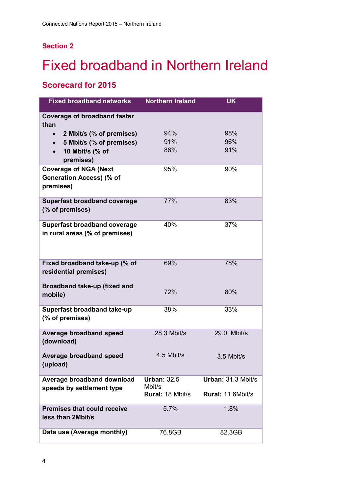## **Section 2**

# <span id="page-5-0"></span>**Fixed broadband in Northern Ireland**

# **Scorecard for 2015**

| <b>Fixed broadband networks</b>                                       | <b>Northern Ireland</b>           | <b>UK</b>          |
|-----------------------------------------------------------------------|-----------------------------------|--------------------|
| <b>Coverage of broadband faster</b><br>than                           |                                   |                    |
| 2 Mbit/s (% of premises)                                              | 94%                               | 98%                |
| 5 Mbit/s (% of premises)                                              | 91%                               | 96%                |
| 10 Mbit/s (% of                                                       | 86%                               | 91%                |
| premises)                                                             |                                   |                    |
| <b>Coverage of NGA (Next</b>                                          | 95%                               | 90%                |
| Generation Access) (% of<br>premises)                                 |                                   |                    |
| <b>Superfast broadband coverage</b><br>(% of premises)                | 77%                               | 83%                |
| <b>Superfast broadband coverage</b><br>in rural areas (% of premises) | 40%                               | 37%                |
| Fixed broadband take-up (% of<br>residential premises)                | 69%                               | 78%                |
| Broadband take-up (fixed and<br>mobile)                               | 72%                               | 80%                |
| Superfast broadband take-up<br>(% of premises)                        | 38%                               | 33%                |
| <b>Average broadband speed</b><br>(download)                          | 28.3 Mbit/s                       | 29.0 Mbit/s        |
| <b>Average broadband speed</b><br>(upload)                            | 4.5 Mbit/s                        | 3.5 Mbit/s         |
| Average broadband download                                            | <b>Urban: 32.5</b>                | Urban: 31.3 Mbit/s |
| speeds by settlement type                                             | Mbit/s<br><b>Rural: 18 Mbit/s</b> | Rural: 11.6Mbit/s  |
| <b>Premises that could receive</b><br>less than 2Mbit/s               | 5.7%                              | 1.8%               |
| Data use (Average monthly)                                            | 76.8GB                            | 82.3GB             |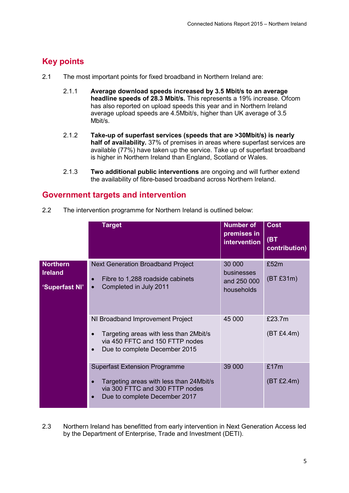# **Key points**

- 2.1 The most important points for fixed broadband in Northern Ireland are:
	- 2.1.1 **Average download speeds increased by 3.5 Mbit/s to an average headline speeds of 28.3 Mbit/s.** This represents a 19% increase. Ofcom has also reported on upload speeds this year and in Northern Ireland average upload speeds are 4.5Mbit/s, higher than UK average of 3.5 Mbit/s.
	- 2.1.2 **Take-up of superfast services (speeds that are >30Mbit/s) is nearly half of availability.** 37% of premises in areas where superfast services are available (77%) have taken up the service. Take up of superfast broadband is higher in Northern Ireland than England, Scotland or Wales.
	- 2.1.3 **Two additional public interventions** are ongoing and will further extend the availability of fibre-based broadband across Northern Ireland.

# **Government targets and intervention**

2.2 The intervention programme for Northern Ireland is outlined below:

|                                                     | <b>Target</b>                                                                                                                                                                 | <b>Number of</b><br>premises in<br>intervention   | <b>Cost</b><br>(BT<br>contribution) |
|-----------------------------------------------------|-------------------------------------------------------------------------------------------------------------------------------------------------------------------------------|---------------------------------------------------|-------------------------------------|
| <b>Northern</b><br><b>Ireland</b><br>'Superfast NI' | <b>Next Generation Broadband Project</b><br>Fibre to 1,288 roadside cabinets<br>Completed in July 2011<br>$\bullet$                                                           | 30 000<br>businesses<br>and 250 000<br>households | £52m<br>(BT £31m)                   |
|                                                     | NI Broadband Improvement Project<br>Targeting areas with less than 2Mbit/s<br>$\bullet$<br>via 450 FFTC and 150 FTTP nodes<br>Due to complete December 2015<br>$\bullet$      | 45 000                                            | £23.7m<br>(BT £4.4m)                |
|                                                     | <b>Superfast Extension Programme</b><br>Targeting areas with less than 24Mbit/s<br>$\bullet$<br>via 300 FTTC and 300 FTTP nodes<br>Due to complete December 2017<br>$\bullet$ | 39 000                                            | £17m<br>(BT £2.4m)                  |

2.3 Northern Ireland has benefitted from early intervention in Next Generation Access led by the Department of Enterprise, Trade and Investment (DETI).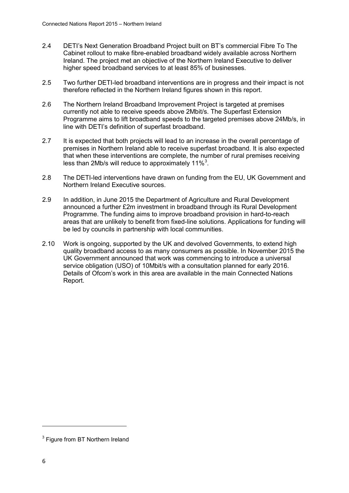- 2.4 DETI's Next Generation Broadband Project built on BT's commercial Fibre To The Cabinet rollout to make fibre-enabled broadband widely available across Northern Ireland. The project met an objective of the Northern Ireland Executive to deliver higher speed broadband services to at least 85% of businesses.
- 2.5 Two further DETI-led broadband interventions are in progress and their impact is not therefore reflected in the Northern Ireland figures shown in this report.
- 2.6 The Northern Ireland Broadband Improvement Project is targeted at premises currently not able to receive speeds above 2Mbit/s. The Superfast Extension Programme aims to lift broadband speeds to the targeted premises above 24Mb/s, in line with DETI's definition of superfast broadband.
- 2.7 It is expected that both projects will lead to an increase in the overall percentage of premises in Northern Ireland able to receive superfast broadband. It is also expected that when these interventions are complete, the number of rural premises receiving less than 2Mb/s will reduce to approximately 11% $3$ .
- 2.8 The DETI-led interventions have drawn on funding from the EU, UK Government and Northern Ireland Executive sources.
- 2.9 In addition, in June 2015 the Department of Agriculture and Rural Development announced a further £2m investment in broadband through its Rural Development Programme. The funding aims to improve broadband provision in hard-to-reach areas that are unlikely to benefit from fixed-line solutions. Applications for funding will be led by councils in partnership with local communities.
- 2.10 Work is ongoing, supported by the UK and devolved Governments, to extend high quality broadband access to as many consumers as possible. In November 2015 the UK Government announced that work was commencing to introduce a universal service obligation (USO) of 10Mbit/s with a consultation planned for early 2016. Details of Ofcom's work in this area are available in the main Connected Nations Report.

**.** 

<span id="page-7-0"></span><sup>&</sup>lt;sup>3</sup> Figure from BT Northern Ireland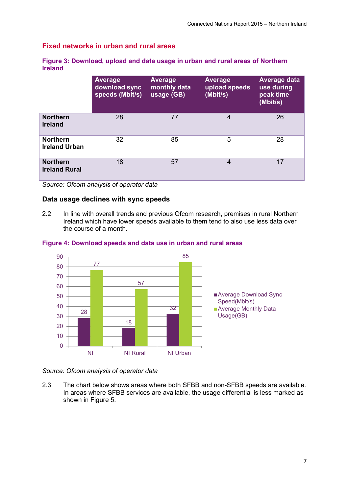## **Fixed networks in urban and rural areas**

| Figure 3: Download, upload and data usage in urban and rural areas of Northern |  |  |  |
|--------------------------------------------------------------------------------|--|--|--|
| <b>Ireland</b>                                                                 |  |  |  |

|                                         | <b>Average</b><br>download sync<br>speeds (Mbit/s) | <b>Average</b><br>monthly data<br>usage (GB) | <b>Average</b><br>upload speeds<br>(Mbit/s) | <b>Average data</b><br>use during<br>peak time<br>(Mbit/s) |
|-----------------------------------------|----------------------------------------------------|----------------------------------------------|---------------------------------------------|------------------------------------------------------------|
| <b>Northern</b><br><b>Ireland</b>       | 28                                                 | 77                                           | 4                                           | 26                                                         |
| <b>Northern</b><br><b>Ireland Urban</b> | 32                                                 | 85                                           | 5                                           | 28                                                         |
| <b>Northern</b><br><b>Ireland Rural</b> | 18                                                 | 57                                           | 4                                           | 17                                                         |

*Source: Ofcom analysis of operator data*

### **Data usage declines with sync speeds**

2.2 In line with overall trends and previous Ofcom research, premises in rural Northern Ireland which have lower speeds available to them tend to also use less data over the course of a month.



### **Figure 4: Download speeds and data use in urban and rural areas**

*Source: Ofcom analysis of operator data*

2.3 The chart below shows areas where both SFBB and non-SFBB speeds are available. In areas where SFBB services are available, the usage differential is less marked as shown in Figure 5.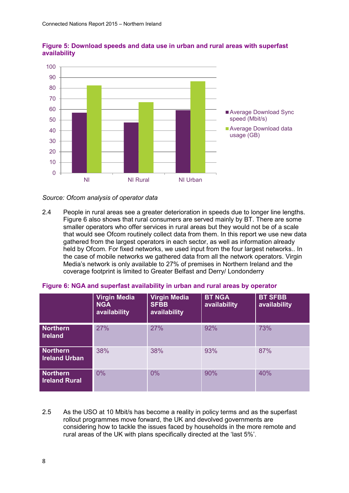



*Source: Ofcom analysis of operator data*

2.4 People in rural areas see a greater deterioration in speeds due to longer line lengths. Figure 6 also shows that rural consumers are served mainly by BT. There are some smaller operators who offer services in rural areas but they would not be of a scale that would see Ofcom routinely collect data from them. In this report we use new data gathered from the largest operators in each sector, as well as information already held by Ofcom. For fixed networks, we used input from the four largest networks.. In the case of mobile networks we gathered data from all the network operators. Virgin Media's network is only available to 27% of premises in Northern Ireland and the coverage footprint is limited to Greater Belfast and Derry/ Londonderry

|                                         | Virgin Media<br><b>NGA</b><br>availability | <b>Virgin Media</b><br><b>SFBB</b><br>availability | <b>BT NGA</b><br>availability | <b>BT SFBB</b><br>availability |
|-----------------------------------------|--------------------------------------------|----------------------------------------------------|-------------------------------|--------------------------------|
| <b>Northern</b><br><b>Ireland</b>       | 27%                                        | 27%                                                | 92%                           | 73%                            |
| <b>Northern</b><br><b>Ireland Urban</b> | 38%                                        | 38%                                                | 93%                           | 87%                            |
| <b>Northern</b><br><b>Ireland Rural</b> | $0\%$                                      | 0%                                                 | 90%                           | 40%                            |

### **Figure 6: NGA and superfast availability in urban and rural areas by operator**

2.5 As the USO at 10 Mbit/s has become a reality in policy terms and as the superfast rollout programmes move forward, the UK and devolved governments are considering how to tackle the issues faced by households in the more remote and rural areas of the UK with plans specifically directed at the 'last 5%'.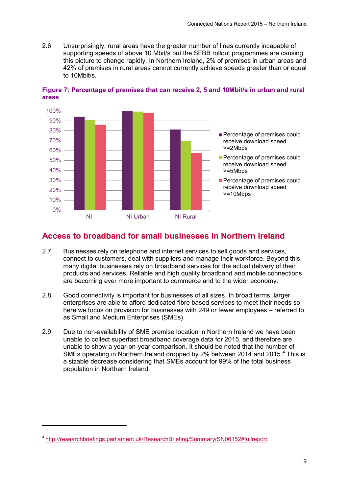2.6 Unsurprisingly, rural areas have the greater number of lines currently incapable of supporting speeds of above 10 Mbit/s but the SFBB rollout programmes are causing this picture to change rapidly. In Northern Ireland, 2% of premises in urban areas and 42% of premises in rural areas cannot currently achieve speeds greater than or equal to 10Mbit/s.



**Figure 7: Percentage of premises that can receive 2, 5 and 10Mbit/s in urban and rural areas**

# **Access to broadband for small businesses in Northern Ireland**

- 2.7 Businesses rely on telephone and internet services to sell goods and services, connect to customers, deal with suppliers and manage their workforce. Beyond this, many digital businesses rely on broadband services for the actual delivery of their products and services. Reliable and high quality broadband and mobile connections are becoming ever more important to commerce and to the wider economy.
- 2.8 Good connectivity is important for businesses of all sizes. In broad terms, larger enterprises are able to afford dedicated fibre based services to meet their needs so here we focus on provision for businesses with 249 or fewer employees – referred to as Small and Medium Enterprises (SMEs).
- 2.9 Due to non-availability of SME premise location in Northern Ireland we have been unable to collect superfast broadband coverage data for 2015, and therefore are unable to show a year-on-year comparison. It should be noted that the number of SMEs operating in Northern Ireland dropped by 2% between 201[4](#page-10-0) and 2015.<sup>4</sup> This is a sizable decrease considering that SMEs account for 99% of the total business population in Northern Ireland.

**.** 

<span id="page-10-0"></span><sup>4</sup> [http://researchbriefings.parliament.uk/ResearchBriefing/Summary/SN06152#fullreport](http://researchbriefings.parliament.uk/ResearchBriefing/Summary/SN06152%23fullreport)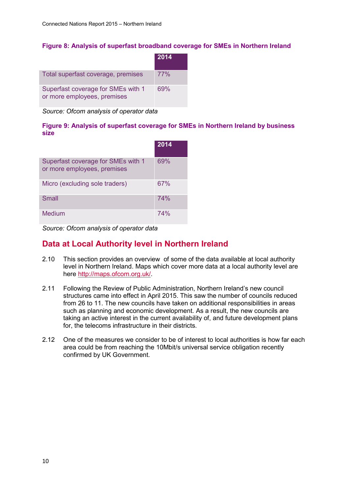### **Figure 8: Analysis of superfast broadband coverage for SMEs in Northern Ireland**

|                                                                   | 2014 |
|-------------------------------------------------------------------|------|
| Total superfast coverage, premises                                | 77%  |
| Superfast coverage for SMEs with 1<br>or more employees, premises | 69%  |

*Source: Ofcom analysis of operator data*

### **Figure 9: Analysis of superfast coverage for SMEs in Northern Ireland by business size**

|                                                                   | 2014 |
|-------------------------------------------------------------------|------|
| Superfast coverage for SMEs with 1<br>or more employees, premises | 69%  |
| Micro (excluding sole traders)                                    | 67%  |
| Small                                                             | 74%  |
| <b>Medium</b>                                                     | 74%  |

*Source: Ofcom analysis of operator data*

# **Data at Local Authority level in Northern Ireland**

- 2.10 This section provides an overview of some of the data available at local authority level in Northern Ireland. Maps which cover more data at a local authority level are here [http://maps.ofcom.org.uk/.](http://maps.ofcom.org.uk/)
- 2.11 Following the Review of Public Administration, Northern Ireland's new council structures came into effect in April 2015. This saw the number of councils reduced from 26 to 11. The new councils have taken on additional responsibilities in areas such as planning and economic development. As a result, the new councils are taking an active interest in the current availability of, and future development plans for, the telecoms infrastructure in their districts.
- 2.12 One of the measures we consider to be of interest to local authorities is how far each area could be from reaching the 10Mbit/s universal service obligation recently confirmed by UK Government.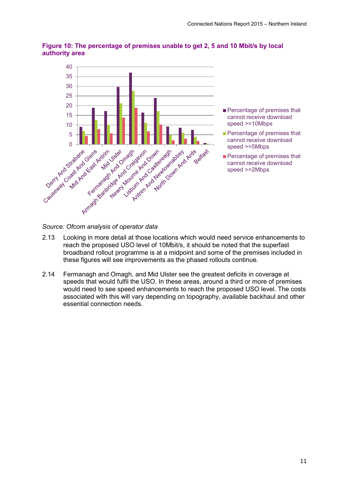

## **Figure 10: The percentage of premises unable to get 2, 5 and 10 Mbit/s by local authority area**

- 2.13 Looking in more detail at those locations which would need service enhancements to reach the proposed USO level of 10Mbit/s, it should be noted that the superfast broadband rollout programme is at a midpoint and some of the premises included in these figures will see improvements as the phased rollouts continue.
- 2.14 Fermanagh and Omagh, and Mid Ulster see the greatest deficits in coverage at speeds that would fulfil the USO. In these areas, around a third or more of premises would need to see speed enhancements to reach the proposed USO level. The costs associated with this will vary depending on topography, available backhaul and other essential connection needs.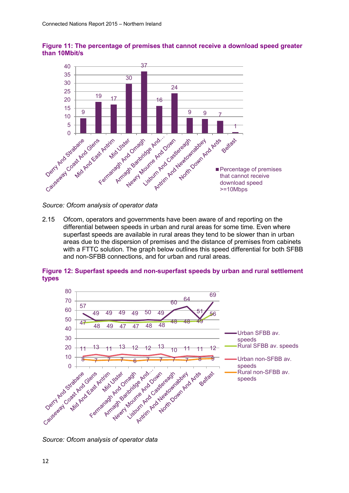

**Figure 11: The percentage of premises that cannot receive a download speed greater than 10Mbit/s**

*Source: Ofcom analysis of operator data*

2.15 Ofcom, operators and governments have been aware of and reporting on the differential between speeds in urban and rural areas for some time. Even where superfast speeds are available in rural areas they tend to be slower than in urban areas due to the dispersion of premises and the distance of premises from cabinets with a FTTC solution. The graph below outlines this speed differential for both SFBB and non-SFBB connections, and for urban and rural areas.

### **Figure 12: Superfast speeds and non-superfast speeds by urban and rural settlement types**



*Source: Ofcom analysis of operator data*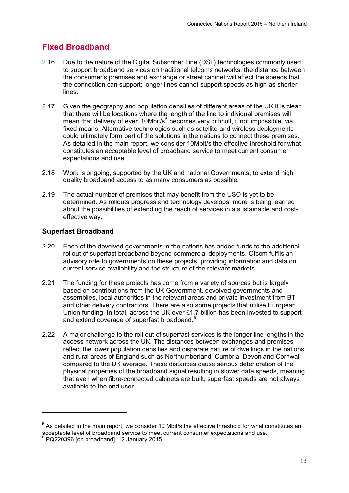# **Fixed Broadband**

- 2.16 Due to the nature of the Digital Subscriber Line (DSL) technologies commonly used to support broadband services on traditional telcoms networks, the distance between the consumer's premises and exchange or street cabinet will affect the speeds that the connection can support; longer lines cannot support speeds as high as shorter lines.
- 2.17 Given the geography and population densities of different areas of the UK it is clear that there will be locations where the length of the line to individual premises will mean that delivery of even 10Mbit/ $s<sup>5</sup>$  $s<sup>5</sup>$  $s<sup>5</sup>$  becomes very difficult, if not impossible, via fixed means. Alternative technologies such as satellite and wireless deployments could ultimately form part of the solutions in the nations to connect these premises. As detailed in the main report, we consider 10Mbit/s the effective threshold for what constitutes an acceptable level of broadband service to meet current consumer expectations and use.
- 2.18 Work is ongoing, supported by the UK and national Governments, to extend high quality broadband access to as many consumers as possible.
- 2.19 The actual number of premises that may benefit from the USO is yet to be determined. As rollouts progress and technology develops, more is being learned about the possibilities of extending the reach of services in a sustainable and costeffective way.

### **Superfast Broadband**

1

- 2.20 Each of the devolved governments in the nations has added funds to the additional rollout of superfast broadband beyond commercial deployments. Ofcom fulfils an advisory role to governments on these projects, providing information and data on current service availability and the structure of the relevant markets.
- 2.21 The funding for these projects has come from a variety of sources but is largely based on contributions from the UK Government, devolved governments and assemblies, local authorities in the relevant areas and private investment from BT and other delivery contractors. There are also some projects that utilise European Union funding. In total, across the UK over £1.7 billion has been invested to support and extend coverage of superfast broadband.<sup>[6](#page-14-1)</sup>
- 2.22 A major challenge to the roll out of superfast services is the longer line lengths in the access network across the UK. The distances between exchanges and premises reflect the lower population densities and disparate nature of dwellings in the nations and rural areas of England such as Northumberland, Cumbria, Devon and Cornwall compared to the UK average. These distances cause serious deterioration of the physical properties of the broadband signal resulting in slower data speeds, meaning that even when fibre-connected cabinets are built, superfast speeds are not always available to the end user.

<span id="page-14-1"></span><span id="page-14-0"></span> $5$  As detailed in the main report, we consider 10 Mbit/s the effective threshold for what constitutes an acceptable level of broadband service to meet current consumer expectations and use.  $6$  PQ220396 [on broadband], 12 January 2015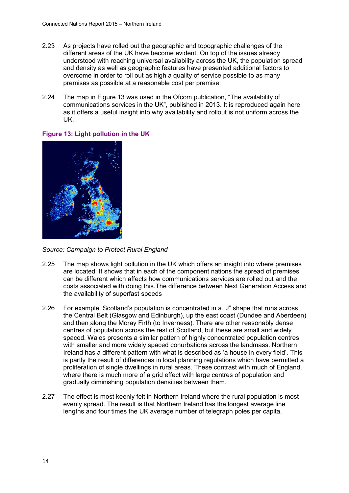- 2.23 As projects have rolled out the geographic and topographic challenges of the different areas of the UK have become evident. On top of the issues already understood with reaching universal availability across the UK, the population spread and density as well as geographic features have presented additional factors to overcome in order to roll out as high a quality of service possible to as many premises as possible at a reasonable cost per premise.
- 2.24 The map in [Figure 13](#page-15-0) was used in the Ofcom publication, "The availability of communications services in the UK", published in 2013. It is reproduced again here as it offers a useful insight into why availability and rollout is not uniform across the UK.



### <span id="page-15-0"></span>**Figure 13: Light pollution in the UK**

*Source: Campaign to Protect Rural England*

- 2.25 The map shows light pollution in the UK which offers an insight into where premises are located. It shows that in each of the component nations the spread of premises can be different which affects how communications services are rolled out and the costs associated with doing this.The difference between Next Generation Access and the availability of superfast speeds
- 2.26 For example, Scotland's population is concentrated in a "J" shape that runs across the Central Belt (Glasgow and Edinburgh), up the east coast (Dundee and Aberdeen) and then along the Moray Firth (to Inverness). There are other reasonably dense centres of population across the rest of Scotland, but these are small and widely spaced. Wales presents a similar pattern of highly concentrated population centres with smaller and more widely spaced conurbations across the landmass. Northern Ireland has a different pattern with what is described as 'a house in every field'. This is partly the result of differences in local planning regulations which have permitted a proliferation of single dwellings in rural areas. These contrast with much of England, where there is much more of a grid effect with large centres of population and gradually diminishing population densities between them.
- 2.27 The effect is most keenly felt in Northern Ireland where the rural population is most evenly spread. The result is that Northern Ireland has the longest average line lengths and four times the UK average number of telegraph poles per capita.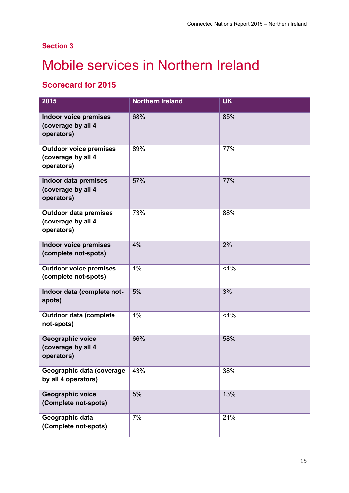# **Section 3**

# <span id="page-16-0"></span>**Mobile services in Northern Ireland**

# **Scorecard for 2015**

| 2015                                                              | <b>Northern Ireland</b> | <b>UK</b> |
|-------------------------------------------------------------------|-------------------------|-----------|
| <b>Indoor voice premises</b><br>(coverage by all 4<br>operators)  | 68%                     | 85%       |
| <b>Outdoor voice premises</b><br>(coverage by all 4<br>operators) | 89%                     | 77%       |
| <b>Indoor data premises</b><br>(coverage by all 4<br>operators)   | 57%                     | 77%       |
| <b>Outdoor data premises</b><br>(coverage by all 4<br>operators)  | 73%                     | 88%       |
| <b>Indoor voice premises</b><br>(complete not-spots)              | 4%                      | 2%        |
| <b>Outdoor voice premises</b><br>(complete not-spots)             | 1%                      | $1\%$     |
| Indoor data (complete not-<br>spots)                              | 5%                      | 3%        |
| <b>Outdoor data (complete</b><br>not-spots)                       | 1%                      | 1%        |
| Geographic voice<br>(coverage by all 4<br>operators)              | 66%                     | 58%       |
| Geographic data (coverage<br>by all 4 operators)                  | 43%                     | 38%       |
| <b>Geographic voice</b><br>(Complete not-spots)                   | 5%                      | 13%       |
| Geographic data<br>(Complete not-spots)                           | 7%                      | 21%       |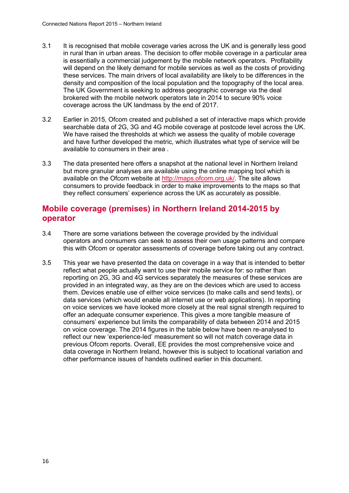- 3.1 It is recognised that mobile coverage varies across the UK and is generally less good in rural than in urban areas. The decision to offer mobile coverage in a particular area is essentially a commercial judgement by the mobile network operators. Profitability will depend on the likely demand for mobile services as well as the costs of providing these services. The main drivers of local availability are likely to be differences in the density and composition of the local population and the topography of the local area. The UK Government is seeking to address geographic coverage via the deal brokered with the mobile network operators late in 2014 to secure 90% voice coverage across the UK landmass by the end of 2017.
- 3.2 Earlier in 2015, Ofcom created and published a set of interactive maps which provide searchable data of 2G, 3G and 4G mobile coverage at postcode level across the UK. We have raised the thresholds at which we assess the quality of mobile coverage and have further developed the metric, which illustrates what type of service will be available to consumers in their area .
- 3.3 The data presented here offers a snapshot at the national level in Northern Ireland but more granular analyses are available using the online mapping tool which is available on the Ofcom website at [http://maps.ofcom.org.uk/.](http://maps.ofcom.org.uk/) The site allows consumers to provide feedback in order to make improvements to the maps so that they reflect consumers' experience across the UK as accurately as possible.

# **Mobile coverage (premises) in Northern Ireland 2014-2015 by operator**

- 3.4 There are some variations between the coverage provided by the individual operators and consumers can seek to assess their own usage patterns and compare this with Ofcom or operator assessments of coverage before taking out any contract.
- 3.5 This year we have presented the data on coverage in a way that is intended to better reflect what people actually want to use their mobile service for: so rather than reporting on 2G, 3G and 4G services separately the measures of these services are provided in an integrated way, as they are on the devices which are used to access them. Devices enable use of either voice services (to make calls and send texts), or data services (which would enable all internet use or web applications). In reporting on voice services we have looked more closely at the real signal strength required to offer an adequate consumer experience. This gives a more tangible measure of consumers' experience but limits the comparability of data between 2014 and 2015 on voice coverage. The 2014 figures in the table below have been re-analysed to reflect our new 'experience-led' measurement so will not match coverage data in previous Ofcom reports. Overall, EE provides the most comprehensive voice and data coverage in Northern Ireland, however this is subject to locational variation and other performance issues of handets outlined earlier in this document.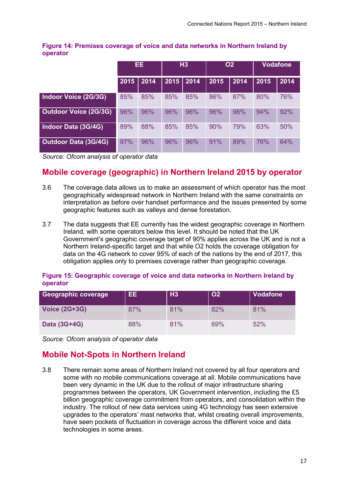### **Figure 14: Premises coverage of voice and data networks in Northern Ireland by operator**

|                              | EE.  |      | H3   |      | <b>O2</b> |      | <b>Vodafone</b> |      |
|------------------------------|------|------|------|------|-----------|------|-----------------|------|
|                              | 2015 | 2014 | 2015 | 2014 | 2015      | 2014 | 2015            | 2014 |
| Indoor Voice (2G/3G)         | 85%  | 85%  | 85%  | 85%  | 86%       | 87%  | 80%             | 76%  |
| <b>Outdoor Voice (2G/3G)</b> | 96%  | 96%  | 96%  | 96%  | 96%       | 96%  | 94%             | 92%  |
| Indoor Data (3G/4G)          | 89%  | 88%  | 85%  | 85%  | 90%       | 79%  | 63%             | 50%  |
| <b>Outdoor Data (3G/4G)</b>  | 97%  | 96%  | 96%  | 96%  | 91%       | 89%  | 76%             | 64%  |

*Source: Ofcom analysis of operator data*

# **Mobile coverage (geographic) in Northern Ireland 2015 by operator**

- 3.6 The coverage data allows us to make an assessment of which operator has the most geographically widespread network in Northern Ireland with the same constraints on interpretation as before over handset performance and the issues presented by some geographic features such as valleys and dense forestation.
- 3.7 The data suggests that EE currently has the widest geographic coverage in Northern Ireland, with some operators below this level. It should be noted that the UK Government's geographic coverage target of 90% applies across the UK and is not a Northern Ireland-specific target and that while O2 holds the coverage obligation for data on the 4G network to cover 95% of each of the nations by the end of 2017, this obligation applies only to premises coverage rather than geographic coverage.

### **Figure 15: Geographic coverage of voice and data networks in Northern Ireland by operator**

| Geographic coverage  | EE. | H3  | <b>O2</b> | <b>Vodafone</b> |
|----------------------|-----|-----|-----------|-----------------|
| <b>Voice (2G+3G)</b> | 87% | 81% | 82%       | 81%             |
| Data (3G+4G)         | 88% | 81% | 69%       | 52%             |

*Source: Ofcom analysis of operator data*

# **Mobile Not-Spots in Northern Ireland**

3.8 There remain some areas of Northern Ireland not covered by all four operators and some with no mobile communications coverage at all. Mobile communications have been very dynamic in the UK due to the rollout of major infrastructure sharing programmes between the operators, UK Government intervention, including the £5 billion geographic coverage commitment from operators, and consolidation within the industry. The rollout of new data services using 4G technology has seen extensive upgrades to the operators' mast networks that, whilst creating overall improvements, have seen pockets of fluctuation in coverage across the different voice and data technologies in some areas.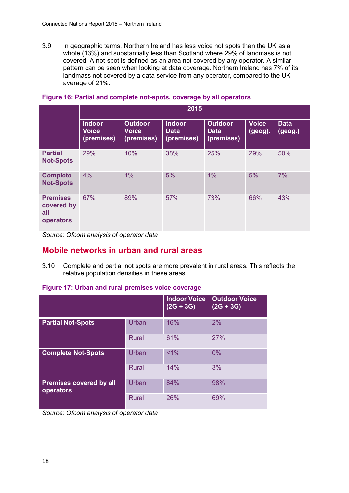3.9 In geographic terms, Northern Ireland has less voice not spots than the UK as a whole (13%) and substantially less than Scotland where 29% of landmass is not covered. A not-spot is defined as an area not covered by any operator. A similar pattern can be seen when looking at data coverage. Northern Ireland has 7% of its landmass not covered by a data service from any operator, compared to the UK average of 21%.

|                                                   | 2015                                        |                                              |                                            |                                             |                         |                        |  |  |
|---------------------------------------------------|---------------------------------------------|----------------------------------------------|--------------------------------------------|---------------------------------------------|-------------------------|------------------------|--|--|
|                                                   | <b>Indoor</b><br><b>Voice</b><br>(premises) | <b>Outdoor</b><br><b>Voice</b><br>(premises) | <b>Indoor</b><br><b>Data</b><br>(premises) | <b>Outdoor</b><br><b>Data</b><br>(premises) | <b>Voice</b><br>(geog). | <b>Data</b><br>(geog.) |  |  |
| <b>Partial</b><br><b>Not-Spots</b>                | 29%                                         | 10%                                          | 38%                                        | 25%                                         | 29%                     | 50%                    |  |  |
| <b>Complete</b><br><b>Not-Spots</b>               | 4%                                          | 1%                                           | 5%                                         | 1%                                          | 5%                      | 7%                     |  |  |
| <b>Premises</b><br>covered by<br>all<br>operators | 67%                                         | 89%                                          | 57%                                        | 73%                                         | 66%                     | 43%                    |  |  |

### **Figure 16: Partial and complete not-spots, coverage by all operators**

*Source: Ofcom analysis of operator data*

# **Mobile networks in urban and rural areas**

3.10 Complete and partial not spots are more prevalent in rural areas. This reflects the relative population densities in these areas.

### **Figure 17: Urban and rural premises voice coverage**

|                                             |              | <b>Indoor Voice</b><br>$(2G + 3G)$ | <b>Outdoor Voice</b><br>$(2G + 3G)$ |
|---------------------------------------------|--------------|------------------------------------|-------------------------------------|
| <b>Partial Not-Spots</b>                    | Urban        | 16%                                | 2%                                  |
|                                             | <b>Rural</b> | 61%                                | 27%                                 |
| <b>Complete Not-Spots</b>                   | Urban        | $< 1\%$                            | 0%                                  |
|                                             | <b>Rural</b> | 14%                                | 3%                                  |
| <b>Premises covered by all</b><br>operators | Urban        | 84%                                | 98%                                 |
|                                             | <b>Rural</b> | 26%                                | 69%                                 |

*Source: Ofcom analysis of operator data*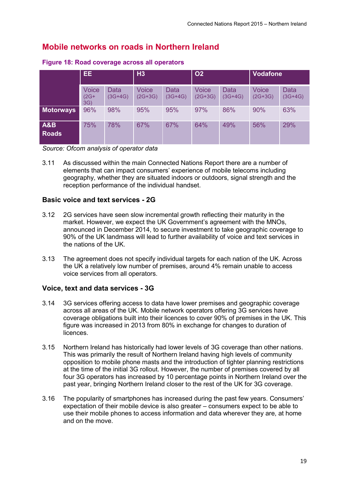# **Mobile networks on roads in Northern Ireland**

|                                | EE.                           |                   | H3                        |                   | <b>O2</b>                 |                          | <b>Vodafone</b>           |                   |
|--------------------------------|-------------------------------|-------------------|---------------------------|-------------------|---------------------------|--------------------------|---------------------------|-------------------|
|                                | <b>Voice</b><br>$(2G+$<br>3G) | Data<br>$(3G+4G)$ | <b>Voice</b><br>$(2G+3G)$ | Data<br>$(3G+4G)$ | <b>Voice</b><br>$(2G+3G)$ | <b>Data</b><br>$(3G+4G)$ | <b>Voice</b><br>$(2G+3G)$ | Data<br>$(3G+4G)$ |
| <b>Motorways</b>               | 96%                           | 98%               | 95%                       | 95%               | 97%                       | 86%                      | 90%                       | 63%               |
| <b>A&amp;B</b><br><b>Roads</b> | 75%                           | 78%               | 67%                       | 67%               | 64%                       | 49%                      | 56%                       | 29%               |

**Figure 18: Road coverage across all operators**

*Source: Ofcom analysis of operator data*

3.11 As discussed within the main Connected Nations Report there are a number of elements that can impact consumers' experience of mobile telecoms including geography, whether they are situated indoors or outdoors, signal strength and the reception performance of the individual handset.

### **Basic voice and text services - 2G**

- 3.12 2G services have seen slow incremental growth reflecting their maturity in the market. However, we expect the UK Government's agreement with the MNOs, announced in December 2014, to secure investment to take geographic coverage to 90% of the UK landmass will lead to further availability of voice and text services in the nations of the UK.
- 3.13 The agreement does not specify individual targets for each nation of the UK. Across the UK a relatively low number of premises, around 4% remain unable to access voice services from all operators.

## **Voice, text and data services - 3G**

- 3.14 3G services offering access to data have lower premises and geographic coverage across all areas of the UK. Mobile network operators offering 3G services have coverage obligations built into their licences to cover 90% of premises in the UK. This figure was increased in 2013 from 80% in exchange for changes to duration of licences.
- 3.15 Northern Ireland has historically had lower levels of 3G coverage than other nations. This was primarily the result of Northern Ireland having high levels of community opposition to mobile phone masts and the introduction of tighter planning restrictions at the time of the initial 3G rollout. However, the number of premises covered by all four 3G operators has increased by 10 percentage points in Northern Ireland over the past year, bringing Northern Ireland closer to the rest of the UK for 3G coverage.
- 3.16 The popularity of smartphones has increased during the past few years. Consumers' expectation of their mobile device is also greater – consumers expect to be able to use their mobile phones to access information and data wherever they are, at home and on the move.